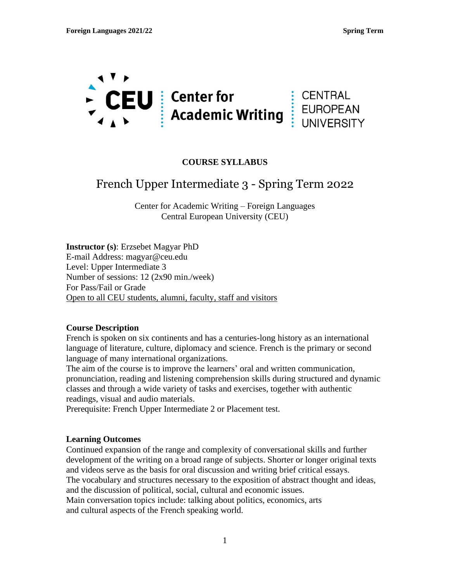

## **COURSE SYLLABUS**

# French Upper Intermediate 3 - Spring Term 2022

Center for Academic Writing – Foreign Languages Central European University (CEU)

**Instructor (s)**: Erzsebet Magyar PhD E-mail Address: magyar@ceu.edu Level: Upper Intermediate 3 Number of sessions: 12 (2x90 min./week) For Pass/Fail or Grade Open to all CEU students, alumni, faculty, staff and visitors

#### **Course Description**

French is spoken on six continents and has a centuries-long history as an international language of literature, culture, diplomacy and science. French is the primary or second language of many international organizations.

The aim of the course is to improve the learners' oral and written communication, pronunciation, reading and listening comprehension skills during structured and dynamic classes and through a wide variety of tasks and exercises, together with authentic readings, visual and audio materials.

Prerequisite: French Upper Intermediate 2 or Placement test.

#### **Learning Outcomes**

Continued expansion of the range and complexity of conversational skills and further development of the writing on a broad range of subjects. Shorter or longer original texts and videos serve as the basis for oral discussion and writing brief critical essays. The vocabulary and structures necessary to the exposition of abstract thought and ideas, and the discussion of political, social, cultural and economic issues. Main conversation topics include: talking about politics, economics, arts and cultural aspects of the French speaking world.

1